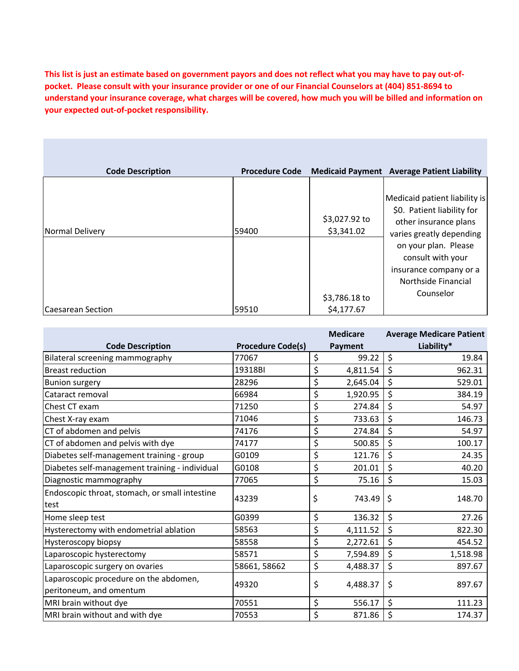**This list is just an estimate based on government payors and does not reflect what you may have to pay out-ofpocket. Please consult with your insurance provider or one of our Financial Counselors at (404) 851-8694 to understand your insurance coverage, what charges will be covered, how much you will be billed and information on your expected out-of-pocket responsibility.**

| <b>Code Description</b>  | <b>Procedure Code</b> |                             | <b>Medicaid Payment Average Patient Liability</b>                                                                |
|--------------------------|-----------------------|-----------------------------|------------------------------------------------------------------------------------------------------------------|
| Normal Delivery          | 59400                 | \$3,027.92 to<br>\$3,341.02 | Medicaid patient liability is<br>\$0. Patient liability for<br>other insurance plans<br>varies greatly depending |
|                          |                       |                             | on your plan. Please<br>consult with your<br>insurance company or a<br>Northside Financial                       |
| <b>Caesarean Section</b> | 59510                 | \$3,786.18 to<br>\$4,177.67 | Counselor                                                                                                        |

|                                                                   |                          | <b>Medicare</b> | <b>Average Medicare Patient</b> |
|-------------------------------------------------------------------|--------------------------|-----------------|---------------------------------|
| <b>Code Description</b>                                           | <b>Procedure Code(s)</b> | <b>Payment</b>  | Liability*                      |
| Bilateral screening mammography                                   | 77067                    | \$<br>99.22     | \$<br>19.84                     |
| <b>Breast reduction</b>                                           | 19318BI                  | \$<br>4,811.54  | \$<br>962.31                    |
| <b>Bunion surgery</b>                                             | 28296                    | \$<br>2,645.04  | \$<br>529.01                    |
| Cataract removal                                                  | 66984                    | \$<br>1,920.95  | \$<br>384.19                    |
| Chest CT exam                                                     | 71250                    | \$<br>274.84    | \$<br>54.97                     |
| Chest X-ray exam                                                  | 71046                    | \$<br>733.63    | \$<br>146.73                    |
| CT of abdomen and pelvis                                          | 74176                    | \$<br>274.84    | \$<br>54.97                     |
| CT of abdomen and pelvis with dye                                 | 74177                    | \$<br>500.85    | \$<br>100.17                    |
| Diabetes self-management training - group                         | G0109                    | \$<br>121.76    | \$<br>24.35                     |
| Diabetes self-management training - individual                    | G0108                    | \$<br>201.01    | \$<br>40.20                     |
| Diagnostic mammography                                            | 77065                    | \$<br>75.16     | \$<br>15.03                     |
| Endoscopic throat, stomach, or small intestine<br>test            | 43239                    | \$<br>743.49    | \$<br>148.70                    |
| Home sleep test                                                   | G0399                    | \$<br>136.32    | \$<br>27.26                     |
| Hysterectomy with endometrial ablation                            | 58563                    | \$<br>4,111.52  | \$<br>822.30                    |
| <b>Hysteroscopy biopsy</b>                                        | 58558                    | \$<br>2,272.61  | \$<br>454.52                    |
| Laparoscopic hysterectomy                                         | 58571                    | \$<br>7,594.89  | \$<br>1,518.98                  |
| Laparoscopic surgery on ovaries                                   | 58661, 58662             | \$<br>4,488.37  | \$<br>897.67                    |
| Laparoscopic procedure on the abdomen,<br>peritoneum, and omentum | 49320                    | \$<br>4,488.37  | \$<br>897.67                    |
| MRI brain without dye                                             | 70551                    | \$<br>556.17    | \$<br>111.23                    |
| MRI brain without and with dye                                    | 70553                    | \$<br>871.86    | \$<br>174.37                    |